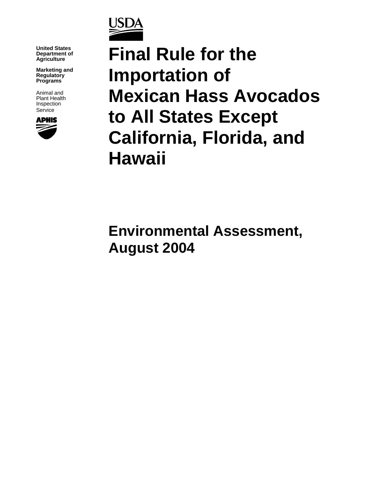

**United States Department of Agriculture**

**Marketing and Regulatory Programs**

Animal and Plant Health Inspection Service



**Final Rule for the Importation of Mexican Hass Avocados to All States Except California, Florida, and Hawaii**

**Environmental Assessment, August 2004**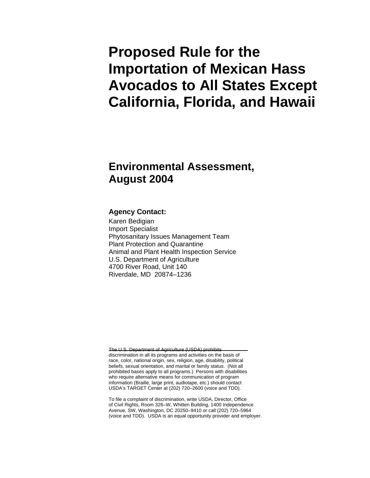# **Proposed Rule for the Importation of Mexican Hass Avocados to All States Except California, Florida, and Hawaii**

### **Environmental Assessment, August 2004**

#### **Agency Contact:**

Karen Bedigian Import Specialist Phytosanitary Issues Management Team Plant Protection and Quarantine Animal and Plant Health Inspection Service U.S. Department of Agriculture 4700 River Road, Unit 140 Riverdale, MD 20874–1236

The U.S. Department of Agriculture (USDA) prohibits discrimination in all its programs and activities on the basis of race, color, national origin, sex, religion, age, disability, political beliefs, sexual orientation, and marital or family status. (Not all prohibited bases apply to all programs.) Persons with disabilities who require alternative means for communication of program information (Braille, large print, audiotape, etc.) should contact USDA's TARGET Center at (202) 720–2600 (voice and TDD).

To file a complaint of discrimination, write USDA, Director, Office of Civil Rights, Room 326–W, Whitten Building, 1400 Independence Avenue, SW, Washington, DC 20250–9410 or call (202) 720–5964 (voice and TDD). USDA is an equal opportunity provider and employer.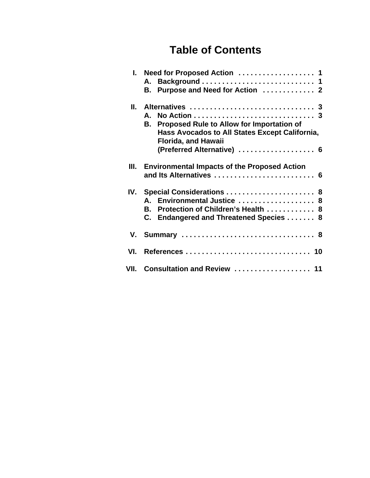## **Table of Contents**

| L.     | Need for Proposed Action  1<br>А.                                                                                                                                                      |
|--------|----------------------------------------------------------------------------------------------------------------------------------------------------------------------------------------|
|        | Purpose and Need for Action  2<br>В.                                                                                                                                                   |
| II. I  | Alternatives  3<br>A.<br>Proposed Rule to Allow for Importation of<br>В.<br>Hass Avocados to All States Except California,<br><b>Florida, and Hawaii</b><br>(Preferred Alternative)  6 |
| Ш.     | <b>Environmental Impacts of the Proposed Action</b><br>and Its Alternatives  6                                                                                                         |
| IV.    | Special Considerations  8<br>Environmental Justice  8<br>А.<br>Protection of Children's Health  8<br>В.<br>Endangered and Threatened Species  8<br>C.                                  |
| V.     |                                                                                                                                                                                        |
| VI.    |                                                                                                                                                                                        |
| VII. I | Consultation and Review  11                                                                                                                                                            |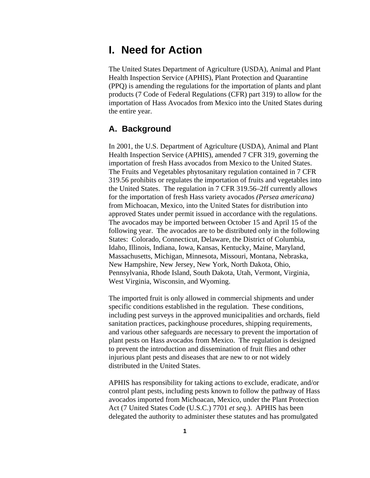### **I. Need for Action**

The United States Department of Agriculture (USDA), Animal and Plant Health Inspection Service (APHIS), Plant Protection and Quarantine (PPQ) is amending the regulations for the importation of plants and plant products (7 Code of Federal Regulations (CFR) part 319) to allow for the importation of Hass Avocados from Mexico into the United States during the entire year.

#### **A. Background**

In 2001, the U.S. Department of Agriculture (USDA), Animal and Plant Health Inspection Service (APHIS), amended 7 CFR 319, governing the importation of fresh Hass avocados from Mexico to the United States. The Fruits and Vegetables phytosanitary regulation contained in 7 CFR 319.56 prohibits or regulates the importation of fruits and vegetables into the United States. The regulation in 7 CFR 319.56–2ff currently allows for the importation of fresh Hass variety avocados *(Persea americana)* from Michoacan, Mexico, into the United States for distribution into approved States under permit issued in accordance with the regulations. The avocados may be imported between October 15 and April 15 of the following year. The avocados are to be distributed only in the following States: Colorado, Connecticut, Delaware, the District of Columbia, Idaho, Illinois, Indiana, Iowa, Kansas, Kentucky, Maine, Maryland, Massachusetts, Michigan, Minnesota, Missouri, Montana, Nebraska, New Hampshire, New Jersey, New York, North Dakota, Ohio, Pennsylvania, Rhode Island, South Dakota, Utah, Vermont, Virginia, West Virginia, Wisconsin, and Wyoming.

The imported fruit is only allowed in commercial shipments and under specific conditions established in the regulation. These conditions, including pest surveys in the approved municipalities and orchards, field sanitation practices, packinghouse procedures, shipping requirements, and various other safeguards are necessary to prevent the importation of plant pests on Hass avocados from Mexico. The regulation is designed to prevent the introduction and dissemination of fruit flies and other injurious plant pests and diseases that are new to or not widely distributed in the United States.

APHIS has responsibility for taking actions to exclude, eradicate, and/or control plant pests, including pests known to follow the pathway of Hass avocados imported from Michoacan, Mexico, under the Plant Protection Act (7 United States Code (U.S.C.) 7701 *et seq*.). APHIS has been delegated the authority to administer these statutes and has promulgated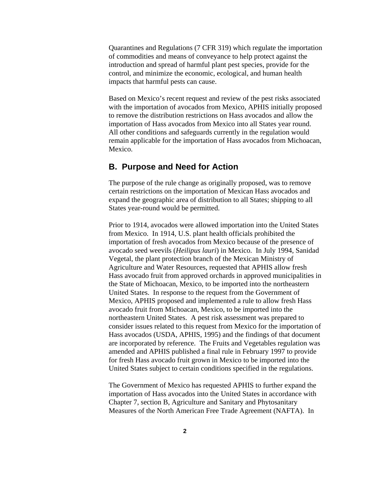Quarantines and Regulations (7 CFR 319) which regulate the importation of commodities and means of conveyance to help protect against the introduction and spread of harmful plant pest species, provide for the control, and minimize the economic, ecological, and human health impacts that harmful pests can cause.

Based on Mexico's recent request and review of the pest risks associated with the importation of avocados from Mexico, APHIS initially proposed to remove the distribution restrictions on Hass avocados and allow the importation of Hass avocados from Mexico into all States year round. All other conditions and safeguards currently in the regulation would remain applicable for the importation of Hass avocados from Michoacan, Mexico.

#### **B. Purpose and Need for Action**

The purpose of the rule change as originally proposed, was to remove certain restrictions on the importation of Mexican Hass avocados and expand the geographic area of distribution to all States; shipping to all States year-round would be permitted.

Prior to 1914, avocados were allowed importation into the United States from Mexico. In 1914, U.S. plant health officials prohibited the importation of fresh avocados from Mexico because of the presence of avocado seed weevils (*Heilipus lauri*) in Mexico. In July 1994, Sanidad Vegetal, the plant protection branch of the Mexican Ministry of Agriculture and Water Resources, requested that APHIS allow fresh Hass avocado fruit from approved orchards in approved municipalities in the State of Michoacan, Mexico, to be imported into the northeastern United States. In response to the request from the Government of Mexico, APHIS proposed and implemented a rule to allow fresh Hass avocado fruit from Michoacan, Mexico, to be imported into the northeastern United States. A pest risk assessment was prepared to consider issues related to this request from Mexico for the importation of Hass avocados (USDA, APHIS, 1995) and the findings of that document are incorporated by reference. The Fruits and Vegetables regulation was amended and APHIS published a final rule in February 1997 to provide for fresh Hass avocado fruit grown in Mexico to be imported into the United States subject to certain conditions specified in the regulations.

The Government of Mexico has requested APHIS to further expand the importation of Hass avocados into the United States in accordance with Chapter 7, section B, Agriculture and Sanitary and Phytosanitary Measures of the North American Free Trade Agreement (NAFTA). In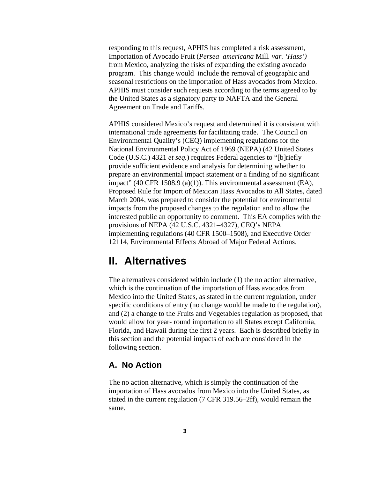responding to this request, APHIS has completed a risk assessment, Importation of Avocado Fruit (*Persea americana* Mill*. var. 'Hass')* from Mexico, analyzing the risks of expanding the existing avocado program. This change would include the removal of geographic and seasonal restrictions on the importation of Hass avocados from Mexico. APHIS must consider such requests according to the terms agreed to by the United States as a signatory party to NAFTA and the General Agreement on Trade and Tariffs.

APHIS considered Mexico's request and determined it is consistent with international trade agreements for facilitating trade. The Council on Environmental Quality's (CEQ) implementing regulations for the National Environmental Policy Act of 1969 (NEPA) (42 United States Code (U.S.C.) 4321 *et seq.*) requires Federal agencies to "[b]riefly provide sufficient evidence and analysis for determining whether to prepare an environmental impact statement or a finding of no significant impact" (40 CFR 1508.9 (a)(1)). This environmental assessment (EA), Proposed Rule for Import of Mexican Hass Avocados to All States, dated March 2004, was prepared to consider the potential for environmental impacts from the proposed changes to the regulation and to allow the interested public an opportunity to comment. This EA complies with the provisions of NEPA (42 U.S.C. 4321–4327), CEQ's NEPA implementing regulations (40 CFR 1500–1508), and Executive Order 12114, Environmental Effects Abroad of Major Federal Actions.

### **II. Alternatives**

The alternatives considered within include (1) the no action alternative, which is the continuation of the importation of Hass avocados from Mexico into the United States, as stated in the current regulation, under specific conditions of entry (no change would be made to the regulation), and (2) a change to the Fruits and Vegetables regulation as proposed, that would allow for year- round importation to all States except California, Florida, and Hawaii during the first 2 years. Each is described briefly in this section and the potential impacts of each are considered in the following section.

#### **A. No Action**

The no action alternative, which is simply the continuation of the importation of Hass avocados from Mexico into the United States, as stated in the current regulation (7 CFR 319.56–2ff), would remain the same.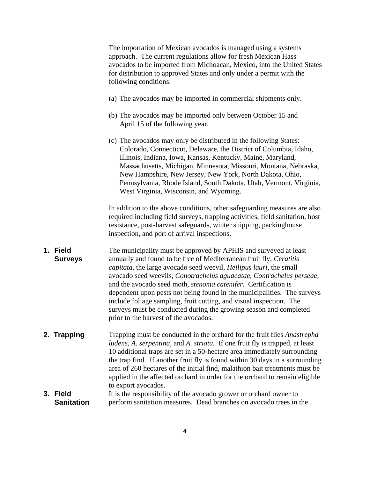The importation of Mexican avocados is managed using a systems approach. The current regulations allow for fresh Mexican Hass avocados to be imported from Michoacan, Mexico, into the United States for distribution to approved States and only under a permit with the following conditions:

- (a) The avocados may be imported in commercial shipments only.
- (b) The avocados may be imported only between October 15 and April 15 of the following year.
- (c) The avocados may only be distributed in the following States: Colorado, Connecticut, Delaware, the District of Columbia, Idaho, Illinois, Indiana, Iowa, Kansas, Kentucky, Maine, Maryland, Massachusetts, Michigan, Minnesota, Missouri, Montana, Nebraska, New Hampshire, New Jersey, New York, North Dakota, Ohio, Pennsylvania, Rhode Island, South Dakota, Utah, Vermont, Virginia, West Virginia, Wisconsin, and Wyoming.

In addition to the above conditions, other safeguarding measures are also required including field surveys, trapping activities, field sanitation, host resistance, post-harvest safeguards, winter shipping, packinghouse inspection, and port of arrival inspections.

- **1. Field Surveys** The municipality must be approved by APHIS and surveyed at least annually and found to be free of Mediterranean fruit fly, *Ceratitis capitata,* the large avocado seed weevil, *Heilipus lauri,* the small avocado seed weevils, *Conotrachelus aguacatae, Contrachelus perseae,* and the avocado seed moth, *stenoma catenifer.* Certification is dependent upon pests not being found in the municipalities. The surveys include foliage sampling, fruit cutting, and visual inspection. The surveys must be conducted during the growing season and completed prior to the harvest of the avocados.
- **2. Trapping** Trapping must be conducted in the orchard for the fruit flies *Anastrepha ludens, A. serpentina,* and *A. striata.* If one fruit fly is trapped, at least 10 additional traps are set in a 50-hectare area immediately surrounding the trap find. If another fruit fly is found within 30 days in a surrounding area of 260 hectares of the initial find, malathion bait treatments must be applied in the affected orchard in order for the orchard to remain eligible to export avocados.
- **3. Field Sanitation** It is the responsibility of the avocado grower or orchard owner to perform sanitation measures. Dead branches on avocado trees in the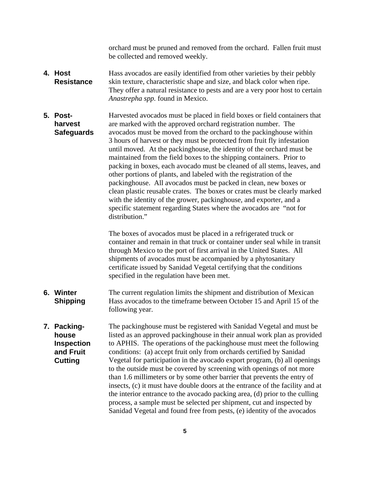orchard must be pruned and removed from the orchard. Fallen fruit must be collected and removed weekly.

- **4. Host Resistance** Hass avocados are easily identified from other varieties by their pebbly skin texture, characteristic shape and size, and black color when ripe. They offer a natural resistance to pests and are a very poor host to certain *Anastrepha spp.* found in Mexico.
- **5. Postharvest Safeguards** Harvested avocados must be placed in field boxes or field containers that are marked with the approved orchard registration number. The avocados must be moved from the orchard to the packinghouse within 3 hours of harvest or they must be protected from fruit fly infestation until moved. At the packinghouse, the identity of the orchard must be maintained from the field boxes to the shipping containers. Prior to packing in boxes, each avocado must be cleaned of all stems, leaves, and other portions of plants, and labeled with the registration of the packinghouse. All avocados must be packed in clean, new boxes or clean plastic reusable crates. The boxes or crates must be clearly marked with the identity of the grower, packinghouse, and exporter, and a specific statement regarding States where the avocados are "not for distribution."

The boxes of avocados must be placed in a refrigerated truck or container and remain in that truck or container under seal while in transit through Mexico to the port of first arrival in the United States. All shipments of avocados must be accompanied by a phytosanitary certificate issued by Sanidad Vegetal certifying that the conditions specified in the regulation have been met.

- **6. Winter Shipping** The current regulation limits the shipment and distribution of Mexican Hass avocados to the timeframe between October 15 and April 15 of the following year.
- **7. Packinghouse Inspection and Fruit Cutting** The packinghouse must be registered with Sanidad Vegetal and must be listed as an approved packinghouse in their annual work plan as provided to APHIS. The operations of the packinghouse must meet the following conditions: (a) accept fruit only from orchards certified by Sanidad Vegetal for participation in the avocado export program, (b) all openings to the outside must be covered by screening with openings of not more than 1.6 millimeters or by some other barrier that prevents the entry of insects, (c) it must have double doors at the entrance of the facility and at the interior entrance to the avocado packing area, (d) prior to the culling process, a sample must be selected per shipment, cut and inspected by Sanidad Vegetal and found free from pests, (e) identity of the avocados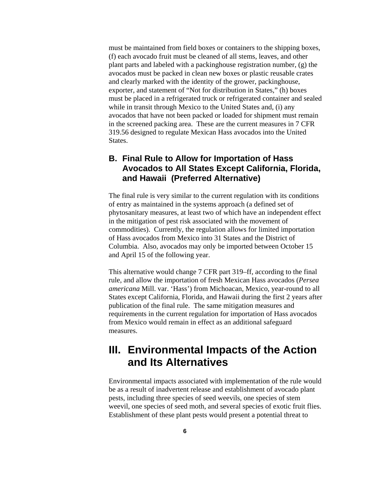must be maintained from field boxes or containers to the shipping boxes, (f) each avocado fruit must be cleaned of all stems, leaves, and other plant parts and labeled with a packinghouse registration number, (g) the avocados must be packed in clean new boxes or plastic reusable crates and clearly marked with the identity of the grower, packinghouse, exporter, and statement of "Not for distribution in States," (h) boxes must be placed in a refrigerated truck or refrigerated container and sealed while in transit through Mexico to the United States and, (i) any avocados that have not been packed or loaded for shipment must remain in the screened packing area. These are the current measures in 7 CFR 319.56 designed to regulate Mexican Hass avocados into the United States.

### **B. Final Rule to Allow for Importation of Hass Avocados to All States Except California, Florida, and Hawaii (Preferred Alternative)**

The final rule is very similar to the current regulation with its conditions of entry as maintained in the systems approach (a defined set of phytosanitary measures, at least two of which have an independent effect in the mitigation of pest risk associated with the movement of commodities). Currently, the regulation allows for limited importation of Hass avocados from Mexico into 31 States and the District of Columbia. Also, avocados may only be imported between October 15 and April 15 of the following year.

This alternative would change 7 CFR part 319–ff, according to the final rule, and allow the importation of fresh Mexican Hass avocados (*Persea americana* Mill. var. 'Hass') from Michoacan, Mexico, year-round to all States except California, Florida, and Hawaii during the first 2 years after publication of the final rule. The same mitigation measures and requirements in the current regulation for importation of Hass avocados from Mexico would remain in effect as an additional safeguard measures.

### **III. Environmental Impacts of the Action and Its Alternatives**

Environmental impacts associated with implementation of the rule would be as a result of inadvertent release and establishment of avocado plant pests, including three species of seed weevils, one species of stem weevil, one species of seed moth, and several species of exotic fruit flies. Establishment of these plant pests would present a potential threat to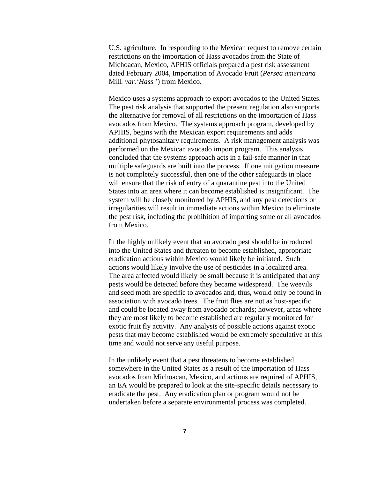U.S. agriculture. In responding to the Mexican request to remove certain restrictions on the importation of Hass avocados from the State of Michoacan, Mexico, APHIS officials prepared a pest risk assessment dated February 2004, Importation of Avocado Fruit (*Persea americana* Mill*. var.'Hass* ') from Mexico.

Mexico uses a systems approach to export avocados to the United States. The pest risk analysis that supported the present regulation also supports the alternative for removal of all restrictions on the importation of Hass avocados from Mexico. The systems approach program, developed by APHIS, begins with the Mexican export requirements and adds additional phytosanitary requirements. A risk management analysis was performed on the Mexican avocado import program. This analysis concluded that the systems approach acts in a fail-safe manner in that multiple safeguards are built into the process. If one mitigation measure is not completely successful, then one of the other safeguards in place will ensure that the risk of entry of a quarantine pest into the United States into an area where it can become established is insignificant. The system will be closely monitored by APHIS, and any pest detections or irregularities will result in immediate actions within Mexico to eliminate the pest risk, including the prohibition of importing some or all avocados from Mexico.

In the highly unlikely event that an avocado pest should be introduced into the United States and threaten to become established, appropriate eradication actions within Mexico would likely be initiated. Such actions would likely involve the use of pesticides in a localized area. The area affected would likely be small because it is anticipated that any pests would be detected before they became widespread. The weevils and seed moth are specific to avocados and, thus, would only be found in association with avocado trees. The fruit flies are not as host-specific and could be located away from avocado orchards; however, areas where they are most likely to become established are regularly monitored for exotic fruit fly activity. Any analysis of possible actions against exotic pests that may become established would be extremely speculative at this time and would not serve any useful purpose.

In the unlikely event that a pest threatens to become established somewhere in the United States as a result of the importation of Hass avocados from Michoacan, Mexico, and actions are required of APHIS, an EA would be prepared to look at the site-specific details necessary to eradicate the pest. Any eradication plan or program would not be undertaken before a separate environmental process was completed.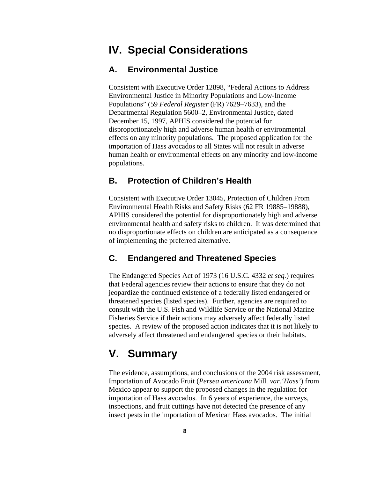### **IV. Special Considerations**

#### **A. Environmental Justice**

Consistent with Executive Order 12898, "Federal Actions to Address Environmental Justice in Minority Populations and Low-Income Populations" (59 *Federal Register* (FR) 7629–7633), and the Departmental Regulation 5600–2, Environmental Justice, dated December 15, 1997, APHIS considered the potential for disproportionately high and adverse human health or environmental effects on any minority populations. The proposed application for the importation of Hass avocados to all States will not result in adverse human health or environmental effects on any minority and low-income populations.

#### **B. Protection of Children's Health**

Consistent with Executive Order 13045, Protection of Children From Environmental Health Risks and Safety Risks (62 FR 19885–19888), APHIS considered the potential for disproportionately high and adverse environmental health and safety risks to children. It was determined that no disproportionate effects on children are anticipated as a consequence of implementing the preferred alternative.

#### **C. Endangered and Threatened Species**

The Endangered Species Act of 1973 (16 U.S.C. 4332 *et seq.*) requires that Federal agencies review their actions to ensure that they do not jeopardize the continued existence of a federally listed endangered or threatened species (listed species). Further, agencies are required to consult with the U.S. Fish and Wildlife Service or the National Marine Fisheries Service if their actions may adversely affect federally listed species. A review of the proposed action indicates that it is not likely to adversely affect threatened and endangered species or their habitats.

### **V. Summary**

The evidence, assumptions, and conclusions of the 2004 risk assessment, Importation of Avocado Fruit (*Persea americana* Mill*. var.'Hass'*) from Mexico appear to support the proposed changes in the regulation for importation of Hass avocados. In 6 years of experience, the surveys, inspections, and fruit cuttings have not detected the presence of any insect pests in the importation of Mexican Hass avocados. The initial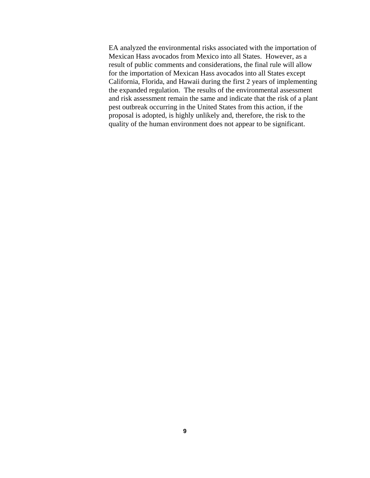EA analyzed the environmental risks associated with the importation of Mexican Hass avocados from Mexico into all States. However, as a result of public comments and considerations, the final rule will allow for the importation of Mexican Hass avocados into all States except California, Florida, and Hawaii during the first 2 years of implementing the expanded regulation. The results of the environmental assessment and risk assessment remain the same and indicate that the risk of a plant pest outbreak occurring in the United States from this action, if the proposal is adopted, is highly unlikely and, therefore, the risk to the quality of the human environment does not appear to be significant.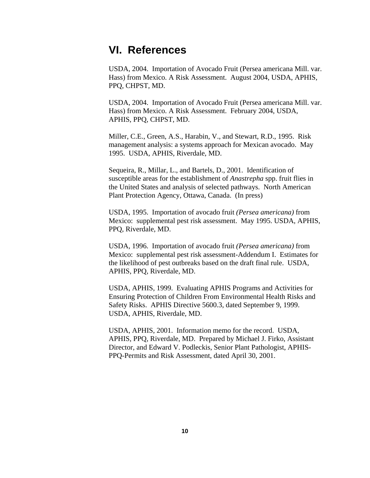### **VI. References**

USDA, 2004. Importation of Avocado Fruit (Persea americana Mill. var. Hass) from Mexico. A Risk Assessment. August 2004, USDA, APHIS, PPQ, CHPST, MD.

USDA, 2004. Importation of Avocado Fruit (Persea americana Mill. var. Hass) from Mexico. A Risk Assessment. February 2004, USDA, APHIS, PPQ, CHPST, MD.

Miller, C.E., Green, A.S., Harabin, V., and Stewart, R.D., 1995. Risk management analysis: a systems approach for Mexican avocado. May 1995. USDA, APHIS, Riverdale, MD.

Sequeira, R., Millar, L., and Bartels, D., 2001. Identification of susceptible areas for the establishment of *Anastrepha* spp. fruit flies in the United States and analysis of selected pathways. North American Plant Protection Agency, Ottawa, Canada. (In press)

USDA, 1995. Importation of avocado fruit *(Persea americana)* from Mexico: supplemental pest risk assessment. May 1995. USDA, APHIS, PPQ, Riverdale, MD.

USDA, 1996. Importation of avocado fruit *(Persea americana)* from Mexico: supplemental pest risk assessment-Addendum I. Estimates for the likelihood of pest outbreaks based on the draft final rule. USDA, APHIS, PPQ, Riverdale, MD.

USDA, APHIS, 1999. Evaluating APHIS Programs and Activities for Ensuring Protection of Children From Environmental Health Risks and Safety Risks. APHIS Directive 5600.3, dated September 9, 1999. USDA, APHIS, Riverdale, MD.

USDA, APHIS, 2001. Information memo for the record. USDA, APHIS, PPQ, Riverdale, MD. Prepared by Michael J. Firko, Assistant Director, and Edward V. Podleckis, Senior Plant Pathologist, APHIS-PPQ-Permits and Risk Assessment, dated April 30, 2001.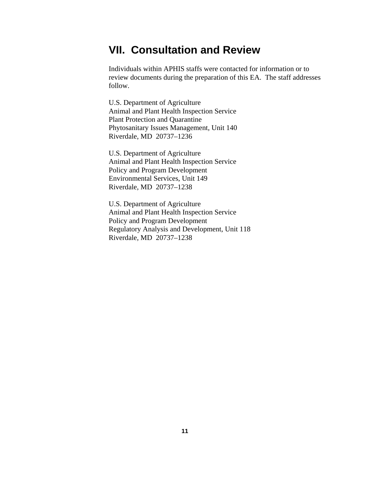### **VII. Consultation and Review**

Individuals within APHIS staffs were contacted for information or to review documents during the preparation of this EA. The staff addresses follow.

U.S. Department of Agriculture Animal and Plant Health Inspection Service Plant Protection and Quarantine Phytosanitary Issues Management, Unit 140 Riverdale, MD 20737–1236

U.S. Department of Agriculture Animal and Plant Health Inspection Service Policy and Program Development Environmental Services, Unit 149 Riverdale, MD 20737–1238

U.S. Department of Agriculture Animal and Plant Health Inspection Service Policy and Program Development Regulatory Analysis and Development, Unit 118 Riverdale, MD 20737–1238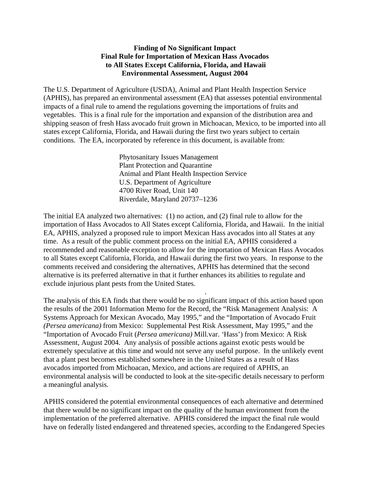#### **Finding of No Significant Impact Final Rule for Importation of Mexican Hass Avocados to All States Except California, Florida, and Hawaii Environmental Assessment, August 2004**

The U.S. Department of Agriculture (USDA), Animal and Plant Health Inspection Service (APHIS), has prepared an environmental assessment (EA) that assesses potential environmental impacts of a final rule to amend the regulations governing the importations of fruits and vegetables. This is a final rule for the importation and expansion of the distribution area and shipping season of fresh Hass avocado fruit grown in Michoacan, Mexico, to be imported into all states except California, Florida, and Hawaii during the first two years subject to certain conditions. The EA, incorporated by reference in this document, is available from:

> Phytosanitary Issues Management Plant Protection and Quarantine Animal and Plant Health Inspection Service U.S. Department of Agriculture 4700 River Road, Unit 140 Riverdale, Maryland 20737–1236

The initial EA analyzed two alternatives: (1) no action, and (2) final rule to allow for the importation of Hass Avocados to All States except California, Florida, and Hawaii. In the initial EA, APHIS, analyzed a proposed rule to import Mexican Hass avocados into all States at any time. As a result of the public comment process on the initial EA, APHIS considered a recommended and reasonable exception to allow for the importation of Mexican Hass Avocados to all States except California, Florida, and Hawaii during the first two years. In response to the comments received and considering the alternatives, APHIS has determined that the second alternative is its preferred alternative in that it further enhances its abilities to regulate and exclude injurious plant pests from the United States.

.

The analysis of this EA finds that there would be no significant impact of this action based upon the results of the 2001 Information Memo for the Record, the "Risk Management Analysis: A Systems Approach for Mexican Avocado, May 1995," and the "Importation of Avocado Fruit *(Persea americana)* from Mexico: Supplemental Pest Risk Assessment, May 1995," and the "Importation of Avocado Fruit (*Persea americana)* Mill.var. *'*Hass') from Mexico: A Risk Assessment, August 2004. Any analysis of possible actions against exotic pests would be extremely speculative at this time and would not serve any useful purpose. In the unlikely event that a plant pest becomes established somewhere in the United States as a result of Hass avocados imported from Michoacan, Mexico, and actions are required of APHIS, an environmental analysis will be conducted to look at the site-specific details necessary to perform a meaningful analysis.

APHIS considered the potential environmental consequences of each alternative and determined that there would be no significant impact on the quality of the human environment from the implementation of the preferred alternative. APHIS considered the impact the final rule would have on federally listed endangered and threatened species, according to the Endangered Species